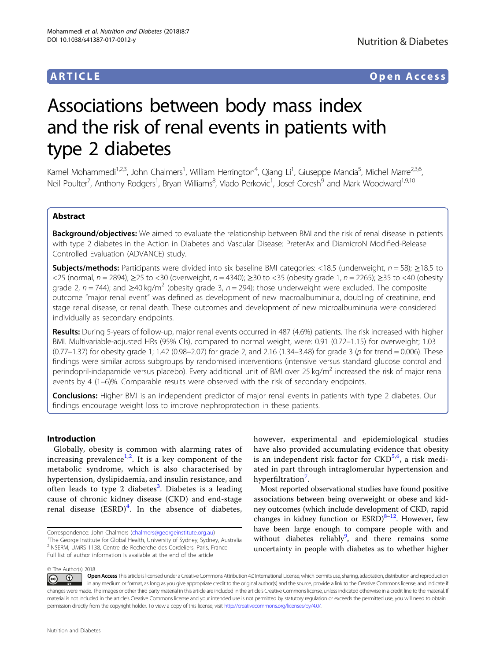# ARTICLE Open Access

# Associations between body mass index and the risk of renal events in patients with type 2 diabetes

Kamel Mohammedi<sup>1,2,3</sup>, John Chalmers<sup>1</sup>, William Herrington<sup>4</sup>, Qiang Li<sup>1</sup>, Giuseppe Mancia<sup>5</sup>, Michel Marre<sup>2,3,6</sup>, Neil Poulter<sup>7</sup>, Anthony Rodgers<sup>1</sup>, Bryan Williams<sup>8</sup>, Vlado Perkovic<sup>1</sup>, Josef Coresh<sup>9</sup> and Mark Woodward<sup>1,9,10</sup>

## Abstract

Background/objectives: We aimed to evaluate the relationship between BMI and the risk of renal disease in patients with type 2 diabetes in the Action in Diabetes and Vascular Disease: PreterAx and DiamicroN Modified-Release Controlled Evaluation (ADVANCE) study.

**Subjects/methods:** Participants were divided into six baseline BMI categories: <18.5 (underweight,  $n = 58$ );  $\geq$ 18.5 to <25 (normal,  $n = 2894$ ); >25 to <30 (overweight,  $n = 4340$ ); >30 to <35 (obesity grade 1,  $n = 2265$ ); >35 to <40 (obesity grade 2,  $n = 744$ ); and >40 kg/m<sup>2</sup> (obesity grade 3,  $n = 294$ ); those underweight were excluded. The composite outcome "major renal event" was defined as development of new macroalbuminuria, doubling of creatinine, end stage renal disease, or renal death. These outcomes and development of new microalbuminuria were considered individually as secondary endpoints.

Results: During 5-years of follow-up, major renal events occurred in 487 (4.6%) patients. The risk increased with higher BMI. Multivariable-adjusted HRs (95% CIs), compared to normal weight, were: 0.91 (0.72–1.15) for overweight; 1.03 (0.77–1.37) for obesity grade 1; 1.42 (0.98–2.07) for grade 2; and 2.16 (1.34–3.48) for grade 3 (p for trend = 0.006). These findings were similar across subgroups by randomised interventions (intensive versus standard glucose control and perindopril-indapamide versus placebo). Every additional unit of BMI over 25 kg/m<sup>2</sup> increased the risk of major renal events by 4 (1–6)%. Comparable results were observed with the risk of secondary endpoints.

Conclusions: Higher BMI is an independent predictor of major renal events in patients with type 2 diabetes. Our findings encourage weight loss to improve nephroprotection in these patients.

### Introduction

Globally, obesity is common with alarming rates of increasing prevalence<sup>[1,2](#page-7-0)</sup>. It is a key component of the metabolic syndrome, which is also characterised by hypertension, dyslipidaemia, and insulin resistance, and often leads to type 2 diabetes<sup>[3](#page-7-0)</sup>. Diabetes is a leading cause of chronic kidney disease (CKD) and end-stage renal disease  $(ESRD)^4$  $(ESRD)^4$ . In the absence of diabetes,

however, experimental and epidemiological studies have also provided accumulating evidence that obesity is an independent risk factor for CKD<sup>[5,6](#page-7-0)</sup>, a risk mediated in part through intraglomerular hypertension and hyperfiltration<sup>[7](#page-7-0)</sup>.

Most reported observational studies have found positive associations between being overweight or obese and kidney outcomes (which include development of CKD, rapid changes in kidney function or  $ESRD)^{8-12}$ . However, few have been large enough to compare people with and without diabetes reliably<sup>[9](#page-7-0)</sup>, and there remains some uncertainty in people with diabetes as to whether higher

© The Author(s) 2018

Open Access This article is licensed under a Creative Commons Attribution 4.0 International License, which permits use, sharing, adaptation, distribution and reproduction  $\odot$   $\odot$ in any medium or format, as long as you give appropriate credit to the original author(s) and the source, provide a link to the Creative Commons license, and indicate if changes were made. The images or other third party material in this article are included in the article's Creative Commons license, unless indicated otherwise in a credit line to the material. If material is not included in the article's Creative Commons license and your intended use is not permitted by statutory regulation or exceeds the permitted use, you will need to obtain permission directly from the copyright holder. To view a copy of this license, visit <http://creativecommons.org/licenses/by/4.0/>.

Correspondence: John Chalmers ([chalmers@georgeinstitute.org.au](mailto:chalmers@georgeinstitute.org.au)) <sup>1</sup> <sup>1</sup>The George Institute for Global Health, University of Sydney, Sydney, Australia 2 INSERM, UMRS 1138, Centre de Recherche des Cordeliers, Paris, France Full list of author information is available at the end of the article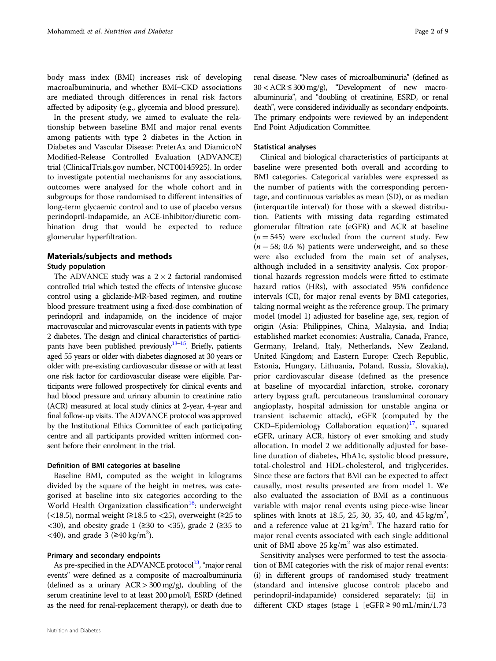body mass index (BMI) increases risk of developing macroalbuminuria, and whether BMI–CKD associations are mediated through differences in renal risk factors affected by adiposity (e.g., glycemia and blood pressure).

In the present study, we aimed to evaluate the relationship between baseline BMI and major renal events among patients with type 2 diabetes in the Action in Diabetes and Vascular Disease: PreterAx and DiamicroN Modified-Release Controlled Evaluation (ADVANCE) trial (ClinicalTrials.gov number, NCT00145925). In order to investigate potential mechanisms for any associations, outcomes were analysed for the whole cohort and in subgroups for those randomised to different intensities of long-term glycaemic control and to use of placebo versus perindopril-indapamide, an ACE-inhibitor/diuretic combination drug that would be expected to reduce glomerular hyperfiltration.

## Materials/subjects and methods

#### Study population

The ADVANCE study was a  $2 \times 2$  factorial randomised controlled trial which tested the effects of intensive glucose control using a gliclazide-MR-based regimen, and routine blood pressure treatment using a fixed-dose combination of perindopril and indapamide, on the incidence of major macrovascular and microvascular events in patients with type 2 diabetes. The design and clinical characteristics of participants have been published previously $13-15$  $13-15$ . Briefly, patients aged 55 years or older with diabetes diagnosed at 30 years or older with pre-existing cardiovascular disease or with at least one risk factor for cardiovascular disease were eligible. Participants were followed prospectively for clinical events and had blood pressure and urinary albumin to creatinine ratio (ACR) measured at local study clinics at 2-year, 4-year and final follow-up visits. The ADVANCE protocol was approved by the Institutional Ethics Committee of each participating centre and all participants provided written informed consent before their enrolment in the trial.

#### Definition of BMI categories at baseline

Baseline BMI, computed as the weight in kilograms divided by the square of the height in metres, was categorised at baseline into six categories according to the World Health Organization classification<sup>16</sup>: underweight (<18.5), normal weight ( $\geq$ 18.5 to <25), overweight ( $\geq$ 25 to  $\langle 30 \rangle$ , and obesity grade 1 (≥30 to  $\langle 35 \rangle$ , grade 2 (≥35 to <40), and grade  $3$  (≥40 kg/m<sup>2</sup>).

#### Primary and secondary endpoints

As pre-specified in the ADVANCE protocol $^{13}$ , "major renal events" were defined as a composite of macroalbuminuria (defined as a urinary  $ACR > 300$  mg/g), doubling of the serum creatinine level to at least 200 μmol/l, ESRD (defined as the need for renal-replacement therapy), or death due to

renal disease. "New cases of microalbuminuria" (defined as  $30 < ACR \leq 300$  mg/g), "Development of new macroalbuminuria", and "doubling of creatinine, ESRD, or renal death", were considered individually as secondary endpoints. The primary endpoints were reviewed by an independent End Point Adjudication Committee.

#### Statistical analyses

Clinical and biological characteristics of participants at baseline were presented both overall and according to BMI categories. Categorical variables were expressed as the number of patients with the corresponding percentage, and continuous variables as mean (SD), or as median (interquartile interval) for those with a skewed distribution. Patients with missing data regarding estimated glomerular filtration rate (eGFR) and ACR at baseline  $(n = 545)$  were excluded from the current study. Few  $(n = 58; 0.6 \%)$  patients were underweight, and so these were also excluded from the main set of analyses, although included in a sensitivity analysis. Cox proportional hazards regression models were fitted to estimate hazard ratios (HRs), with associated 95% confidence intervals (CI), for major renal events by BMI categories, taking normal weight as the reference group. The primary model (model 1) adjusted for baseline age, sex, region of origin (Asia: Philippines, China, Malaysia, and India; established market economies: Australia, Canada, France, Germany, Ireland, Italy, Netherlands, New Zealand, United Kingdom; and Eastern Europe: Czech Republic, Estonia, Hungary, Lithuania, Poland, Russia, Slovakia), prior cardiovascular disease (defined as the presence at baseline of myocardial infarction, stroke, coronary artery bypass graft, percutaneous transluminal coronary angioplasty, hospital admission for unstable angina or transient ischaemic attack), eGFR (computed by the  $CKD$ –Epidemiology Collaboration equation)<sup>17</sup>, squared eGFR, urinary ACR, history of ever smoking and study allocation. In model 2 we additionally adjusted for baseline duration of diabetes, HbA1c, systolic blood pressure, total-cholestrol and HDL-cholesterol, and triglycerides. Since these are factors that BMI can be expected to affect causally, most results presented are from model 1. We also evaluated the association of BMI as a continuous variable with major renal events using piece-wise linear splines with knots at 18.5, 25, 30, 35, 40, and  $45 \text{ kg/m}^2$ , and a reference value at  $21 \text{ kg/m}^2$ . The hazard ratio for major renal events associated with each single additional unit of BMI above  $25 \text{ kg/m}^2$  was also estimated.

Sensitivity analyses were performed to test the association of BMI categories with the risk of major renal events: (i) in different groups of randomised study treatment (standard and intensive glucose control; placebo and perindopril-indapamide) considered separately; (ii) in different CKD stages (stage 1 [eGFR ≥ 90 mL/min/1.73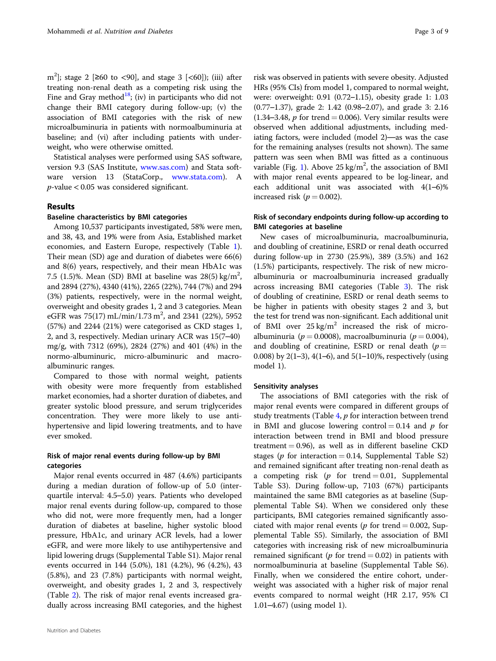m<sup>2</sup>]; stage 2 [≥60 to <90], and stage 3 [<60]); (iii) after treating non-renal death as a competing risk using the Fine and Gray method<sup>18</sup>; (iv) in participants who did not change their BMI category during follow-up; (v) the association of BMI categories with the risk of new microalbuminuria in patients with normoalbuminuria at baseline; and (vi) after including patients with underweight, who were otherwise omitted.

Statistical analyses were performed using SAS software, version 9.3 (SAS Institute, [www.sas.com\)](http://www.sas.com) and Stata software version 13 (StataCorp., [www.stata.com](http://www.stata.com)). A  $p$ -value < 0.05 was considered significant.

#### Results

#### Baseline characteristics by BMI categories

Among 10,537 participants investigated, 58% were men, and 38, 43, and 19% were from Asia, Established market economies, and Eastern Europe, respectively (Table [1](#page-3-0)). Their mean (SD) age and duration of diabetes were 66(6) and 8(6) years, respectively, and their mean HbA1c was 7.5 (1.5)%. Mean (SD) BMI at baseline was  $28(5)$  kg/m<sup>2</sup>, and 2894 (27%), 4340 (41%), 2265 (22%), 744 (7%) and 294 (3%) patients, respectively, were in the normal weight, overweight and obesity grades 1, 2 and 3 categories. Mean eGFR was  $75(17)$  mL/min/1.73 m<sup>2</sup>, and 2341 (22%), 5952 (57%) and 2244 (21%) were categorised as CKD stages 1, 2, and 3, respectively. Median urinary ACR was 15(7–40) mg/g, with 7312 (69%), 2824 (27%) and 401 (4%) in the normo-albuminuric, micro-albuminuric and macroalbuminuric ranges.

Compared to those with normal weight, patients with obesity were more frequently from established market economies, had a shorter duration of diabetes, and greater systolic blood pressure, and serum triglycerides concentration. They were more likely to use antihypertensive and lipid lowering treatments, and to have ever smoked.

#### Risk of major renal events during follow-up by BMI categories

Major renal events occurred in 487 (4.6%) participants during a median duration of follow-up of 5.0 (interquartile interval: 4.5–5.0) years. Patients who developed major renal events during follow-up, compared to those who did not, were more frequently men, had a longer duration of diabetes at baseline, higher systolic blood pressure, HbA1c, and urinary ACR levels, had a lower eGFR, and were more likely to use antihypertensive and lipid lowering drugs (Supplemental Table S1). Major renal events occurred in 144 (5.0%), 181 (4.2%), 96 (4.2%), 43 (5.8%), and 23 (7.8%) participants with normal weight, overweight, and obesity grades 1, 2 and 3, respectively (Table [2\)](#page-4-0). The risk of major renal events increased gradually across increasing BMI categories, and the highest

risk was observed in patients with severe obesity. Adjusted HRs (95% CIs) from model 1, compared to normal weight, were: overweight: 0.91 (0.72–1.15), obesity grade 1: 1.03 (0.77–1.37), grade 2: 1.42 (0.98–2.07), and grade 3: 2.16 (1.34–3.48,  $p$  for trend = 0.006). Very similar results were observed when additional adjustments, including mediating factors, were included (model 2)—as was the case for the remaining analyses (results not shown). The same pattern was seen when BMI was fitted as a continuous variable (Fig. [1](#page-4-0)). Above  $25 \text{ kg/m}^2$ , the association of BMI with major renal events appeared to be log-linear, and each additional unit was associated with 4(1–6)% increased risk ( $p = 0.002$ ).

### Risk of secondary endpoints during follow-up according to BMI categories at baseline

New cases of microalbuminuria, macroalbuminuria, and doubling of creatinine, ESRD or renal death occurred during follow-up in 2730 (25.9%), 389 (3.5%) and 162 (1.5%) participants, respectively. The risk of new microalbuminuria or macroalbuminuria increased gradually across increasing BMI categories (Table [3](#page-5-0)). The risk of doubling of creatinine, ESRD or renal death seems to be higher in patients with obesity stages 2 and 3, but the test for trend was non-significant. Each additional unit of BMI over  $25 \text{ kg/m}^2$  increased the risk of microalbuminuria ( $p = 0.0008$ ), macroalbuminuria ( $p = 0.004$ ), and doubling of creatinine, ESRD or renal death  $(p =$ 0.008) by 2(1–3), 4(1–6), and  $5(1–10)\%$ , respectively (using model 1).

#### Sensitivity analyses

The associations of BMI categories with the risk of major renal events were compared in different groups of study treatments (Table  $4$ ,  $p$  for interaction between trend in BMI and glucose lowering control  $= 0.14$  and p for interaction between trend in BMI and blood pressure treatment  $= 0.96$ ), as well as in different baseline CKD stages ( $p$  for interaction = 0.14, Supplemental Table S2) and remained significant after treating non-renal death as a competing risk ( $p$  for trend = 0.01, Supplemental Table S3). During follow-up, 7103 (67%) participants maintained the same BMI categories as at baseline (Supplemental Table S4). When we considered only these participants, BMI categories remained significantly associated with major renal events ( $p$  for trend = 0.002, Supplemental Table S5). Similarly, the association of BMI categories with increasing risk of new microalbuminuria remained significant ( $p$  for trend = 0.02) in patients with normoalbuminuria at baseline (Supplemental Table S6). Finally, when we considered the entire cohort, underweight was associated with a higher risk of major renal events compared to normal weight (HR 2.17, 95% CI 1.01–4.67) (using model 1).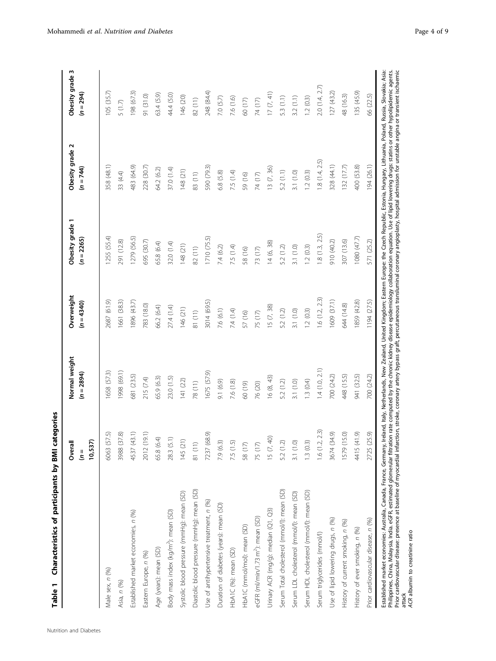<span id="page-3-0"></span>

| Characteristics of participants by BMI<br>Table 1             | categories                                         |                               |                          |                                                                                                                                         |                                |                                |
|---------------------------------------------------------------|----------------------------------------------------|-------------------------------|--------------------------|-----------------------------------------------------------------------------------------------------------------------------------------|--------------------------------|--------------------------------|
|                                                               | $\tilde{\mathbf{r}}$<br>Overall<br>10,537<br>$=$ 0 | Normal weight<br>$(n = 2894)$ | Overweight<br>$(n=4340)$ | Obesity grade 1<br>$(n = 2265)$                                                                                                         | Obesity grade 2<br>$(n = 744)$ | Obesity grade 3<br>$(n = 294)$ |
| Male sex, n (%)                                               | (57.5)<br>6063                                     | 658 (57.3)                    | 2687 (61.9)              | 1255 (55.4)                                                                                                                             | 358 (48.1)                     | 105(35.7)                      |
| Asia, n (%)                                                   | (37.8)<br>3988                                     | 998 (69.1)                    | 661 (38.3)               | 291 (12.8)                                                                                                                              | 33 (4.4)                       | 5(1.7)                         |
| Established market economies, n (%)                           | (43.1)<br>4537                                     | 681 (23.5)                    | 896 (43.7)               | 279 (56.5)                                                                                                                              | 483 (64.9)                     | 198 (67.3)                     |
| Eastern Europe, n (%)                                         | (19.1)<br>2012                                     | 215 (7.4)                     | 783 (18.0)               | 695 (30.7)                                                                                                                              | 228 (30.7)                     | 91 (31.0)                      |
| Age (years): mean (SD)                                        | 65.8 (6.4)                                         | 65.9 (6.3)                    | 56.2 (6.4)               | 55.8 (6.4)                                                                                                                              | 64.2 (6.2)                     | 63.4 (5.9)                     |
| Body mass index (kg/m <sup>2</sup> ): mean (SD)               | 28.3 (5.1)                                         | 23.0 (1.5)                    | 27.4 (1.4)               | 32.0 (1.4)                                                                                                                              | 37.0 (1.4)                     | 44.4 (5.0)                     |
| Systolic blood pressure (mmHg): mean (SD)                     | 145 (21)                                           | 141(22)                       | 146 (21)                 | 148 (21)                                                                                                                                | 148 (21)                       | 146 (20)                       |
| Diastolic blood pressure (mmHg): mean (SD)                    | 81 (11)                                            | 78 (11)                       | 81 (11)                  | 82 (11)                                                                                                                                 | 83 (11)                        | 82 (11)                        |
| Use of antihypertensive treatment, n (%)                      | 7237 (68.9)                                        | 1675 (57.9)                   | 3014 (69.5)              | 1710 (75.5)                                                                                                                             | 590 (79.3)                     | 248 (84.4)                     |
| Duration of diabetes (years): mean (SD)                       | 7.9 (6.3)                                          | 9.1 (6.9)                     | 7.6 (6.1)                | 7.4 (6.2)                                                                                                                               | 6.8(5.8)                       | 7.0(5.7)                       |
| HbA1C (%): mean (SD)                                          | 7.5 (1.5)                                          | 7.6 (1.8)                     | 7.4(1.4)                 | 7.5 (1.4)                                                                                                                               | 7.5 (1.4)                      | 7.6(1.6)                       |
| HbA1C (mmol/mol): mean (SD)                                   | 58 (17)                                            | 60 (19)                       | 57 (16)                  | 58 (16)                                                                                                                                 | 59 (16)                        | 60 (17)                        |
| eGFR (ml/min/1.73 m <sup>2</sup> ): mean (SD)                 | 75 (17)                                            | 76 (20)                       | 75 (17)                  | 73 (17)                                                                                                                                 | 74 (17)                        | $74(17)$                       |
| Urinary ACR (mg/g): median (Q1, Q3)                           | 15 (7, 40)                                         | 16 (8, 43)                    | 15 (7, 38)               | 14(6, 38)                                                                                                                               | 13 (7, 36)                     | 17(7, 41)                      |
| Serum Total cholesterol (mmol/l): mean (SD)                   | 5.2 (1.2)                                          | 5.2 (1.2)                     | 5.2 (1.2)                | 5.2 (1.2)                                                                                                                               | 5.2(1.1)                       | 5.3 (1.1)                      |
| Serum LDL cholesterol (mmol/l): mean (SD)                     | 3.1(1.0)                                           | 3.1(1.0)                      | 3.1(1.0)                 | 3.1(1.0)                                                                                                                                | 3.1(1.0)                       | 3.2(1.1)                       |
| Serum HDL cholesterol (mmol/l): mean (SD)                     | 1.3(0.3)                                           | 1.3(0.4)                      | 1.2(0.3)                 | 1.2(0.3)                                                                                                                                | 1.2(0.3)                       | 1.2(0.3)                       |
| Serum triglycerides (mmol/l)                                  | 1.6(1.2, 2.3)                                      | 1.4(1.0, 2.1)                 | 1.6(1.2, 2.3)            | 1.8(1.3, 2.5)                                                                                                                           | 1.8(1.4, 2.5)                  | 2.0(1.4, 2.7)                  |
| Use of lipid lowering drugs, n (%)                            | 3674 (34.9)                                        | 700 (24.2)                    | 609 (37.1)               | 910 (40.2)                                                                                                                              | 328 (44.1)                     | 127(43.2)                      |
| History of current smoking, n (%)                             | (15.0)<br>1579 (                                   | 448 (15.5)                    | 644 (14.8)               | 307 (13.6)                                                                                                                              | 132 (17.7)                     | 48 (16.3)                      |
| History of ever smoking, n (%)                                | 4415 (41.9)                                        | 941 (32.5)                    | 1859 (42.8)              | 1080 (47.7)                                                                                                                             | 400 (53.8)                     | 135 (45.9)                     |
| Prior cardiovascular disease, n (%)                           | (25.9)<br>2725                                     | 700 (24.2)                    | 1194 (27.5)              | 571 (25.2)                                                                                                                              | 194(26.1)                      | 66 (22.5)                      |
| Established market economies: Australia Canada France Germany |                                                    |                               |                          | Ireland Italy Netherlands New Zealand United Kingdom: Eastern Europe: the Czech Benublic Estonia Hunggay, Poland Russia Slovakia: Asia: |                                |                                |

Established market economies: Australia, Canada, France, Germany, Ireland, Italy, Netherlands, New Zealand, United Kingdom; Eastern Europe: the Czech Republic, Estonia, Hungary, Lithuania, Poland, Russia, Slovakia; Asia: Philippines, China, Malaysia, India. eGFR, estimated glomerular filtration rate computed by the chronic kidney disease epidemiology collaboration equation. Use of lipid lowering drugs: statins or other hypolipidemic agents. Prior cardiovascular disease: presence at baseline of myocardial infarction, stroke, coronary artery bypass graft, percutaneous transluminal coronary angioplasty, hospital admission for unstable angina or transient ischaemic Established market economies: Australia, Landa, Hance, Jermany, ireland, italy, New Zealand, United Niggoon; Eastern Europe: the Czech Republic, Estonia, Hungary, Lithuana, Poland, Noskia, Noskia, Naskia, Noskia, Naskia, N

ACR albumin to creatinine ratio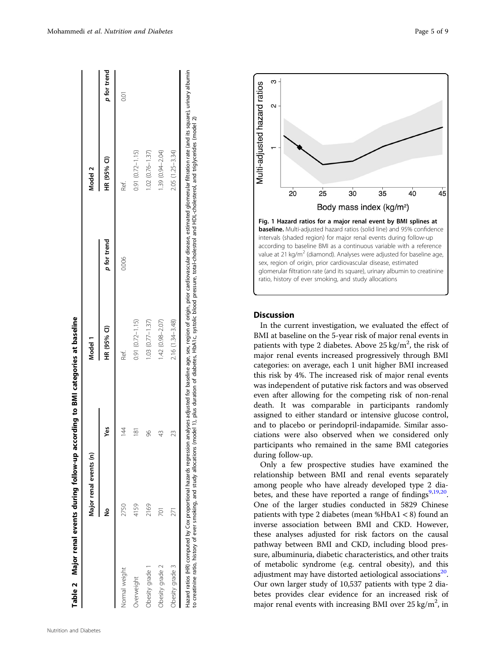<span id="page-4-0"></span>

|                   | Major renal events (n) |               | Model 1                |             | Model 2             |             |
|-------------------|------------------------|---------------|------------------------|-------------|---------------------|-------------|
|                   | ž                      | Yes           | HR (95% Cl)            | p for trend | HR (95% CI)         | p for trend |
| Normal weight     | 2750                   | 14            | Ref.                   | 0.006       | Ref.                | SSI         |
| <b>Dverweight</b> | 4159                   | $\frac{8}{1}$ | $0.91 (0.72 - 1.15)$   |             | $0.91(0.72 - 1.15)$ |             |
| Dhesity grade 1   | 2169                   | 86            | $1.03$ $(0.77 - 1.37)$ |             | $1.02(0.76 - 1.37)$ |             |
| Obesity grade 2   | $\overline{2}$         |               | 1.42 (0.98-2.07)       |             | 1.39 (0.94-2.04)    |             |
| Obesity grade 3   |                        | 23            | $2.16(1.34 - 3.48)$    |             | 2.05 (1.25-3.34)    |             |



 $\vert$   $\vert$ 



### Discussion

In the current investigation, we evaluated the effect of BMI at baseline on the 5-year risk of major renal events in patients with type 2 diabetes. Above  $25 \text{ kg/m}^2$ , the risk of major renal events increased progressively through BMI categories: on average, each 1 unit higher BMI increased this risk by 4%. The increased risk of major renal events was independent of putative risk factors and was observed even after allowing for the competing risk of non-renal death. It was comparable in participants randomly assigned to either standard or intensive glucose control, and to placebo or perindopril-indapamide. Similar associations were also observed when we considered only participants who remained in the same BMI categories during follow-up.

Only a few prospective studies have examined the relationship between BMI and renal events separately among people who have already developed type 2 dia-betes, and these have reported a range of findings<sup>[9,](#page-7-0)[19,20](#page-8-0)</sup>. One of the larger studies conducted in 5829 Chinese patients with type 2 diabetes (mean %HbA1 < 8) found an inverse association between BMI and CKD. However, these analyses adjusted for risk factors on the causal pathway between BMI and CKD, including blood pressure, albuminuria, diabetic characteristics, and other traits of metabolic syndrome (e.g. central obesity), and this adjustment may have distorted aetiological associations<sup>[20](#page-8-0)</sup>. Our own larger study of 10,537 patients with type 2 diabetes provides clear evidence for an increased risk of major renal events with increasing BMI over  $25 \text{ kg/m}^2$ , in

 $\sqrt{2}$ 

 $\overline{1}$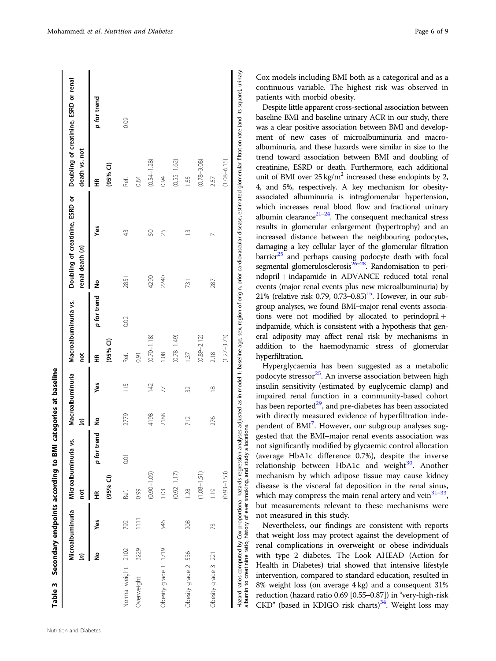<span id="page-5-0"></span>

|                      | Microalbuminuria<br>ŝ |                 | Microalbuminuria<br>not | ś,             | Macroalbuminuria<br>ŝ |               | Macroalbuminuria vs.<br>ă |             | renal death (n) | Doubling of creatinine, ESRD or | death vs. not   | Doubling of creatinine, ESRD or renal |
|----------------------|-----------------------|-----------------|-------------------------|----------------|-----------------------|---------------|---------------------------|-------------|-----------------|---------------------------------|-----------------|---------------------------------------|
|                      | ş                     | yes             | $(95%$ CI)<br>£€        | p for trend    | ş                     | yes           | $(95%$ Cl)<br>띂           | p for trend | ž               | Yes                             | $(95%$ Cl)<br>띂 | p for trend                           |
| Normal weight 2102   |                       | 792             | Ref.                    | $\overline{0}$ | 2779                  | 115           | Ref.                      | 0.02        | 2851            | 43                              | Ref.            | 0.09                                  |
| Overweight           | 3229                  | $\frac{111}{2}$ | 0.99                    |                |                       |               | $\overline{0}$            |             |                 |                                 | 0.84            |                                       |
|                      |                       |                 | $(0.0 - 1.09)$          |                | 4198                  | 142           | $(0.70 - 1.18)$           |             | 4290            | 50                              | $(0.54 - 1.28)$ |                                       |
| Obesity grade 1 1719 |                       | 546             | 1.03                    |                | 2188                  | 77            | 0.08                      |             | 2240            | 25                              | 0.94            |                                       |
|                      |                       |                 | $(0.92 - 1.17)$         |                |                       |               | $(0.78 - 1.49)$           |             |                 |                                 | $(0.55 - 1.62)$ |                                       |
| Obesity grade 2 536  |                       | 208             | 1.28                    |                | 712                   | 32            | 1.37                      |             | 731             | $\frac{3}{2}$                   | 1.55            |                                       |
|                      |                       |                 | $(1.08 - 1.51)$         |                |                       |               | $(0.89 - 2.12)$           |             |                 |                                 | $(0.78 - 3.08)$ |                                       |
| Obesity grade 3 221  |                       | 73              | 1.19                    |                | 276                   | $\frac{8}{2}$ | 2.18                      |             | 287             |                                 | 257             |                                       |
|                      |                       |                 | $(0.93 - 1.53)$         |                |                       |               | $(1.27 - 3.73)$           |             |                 |                                 | $(1.08 - 6.15)$ |                                       |

Nutrition and Diabetes

 $\overline{\phantom{a}}$ 

 $\mathbf{I}$ 

 $\mathbf{I}$ 

Cox models including BMI both as a categorical and as a continuous variable. The highest risk was observed in patients with morbid obesity.

Despite little apparent cross-sectional association between baseline BMI and baseline urinary ACR in our study, there was a clear positive association between BMI and development of new cases of microalbuminuria and macroalbuminuria, and these hazards were similar in size to the trend toward association between BMI and doubling of creatinine, ESRD or death. Furthermore, each additional unit of BMI over  $25 \text{ kg/m}^2$  increased these endopints by 2, 4, and 5%, respectively. A key mechanism for obesityassociated albuminuria is intraglomerular hypertension, which increases renal blood flow and fractional urinary albumin clearance $21-24$  $21-24$ . The consequent mechanical stress results in glomerular enlargement (hypertrophy) and an increased distance between the neighbouring podocytes, damaging a key cellular layer of the glomerular filtration barrier $25$  and perhaps causing podocyte death with focal segmental glomerulosclerosis<sup>26–[28](#page-8-0)</sup>. Randomisation to perindopril + indapamide in ADVANCE reduced total renal events (major renal events plus new microalbuminuria) by 21% (relative risk 0.79, 0.73–0.85) $^{15}$ . However, in our subgroup analyses, we found BMI–major renal events associations were not modified by allocated to perindopril  $+$ indpamide, which is consistent with a hypothesis that general adiposity may affect renal risk by mechanisms in addition to the haemodynamic stress of glomerular hyperfiltration.

Hyperglycaemia has been suggested as a metabolic podocyte stressor<sup>25</sup>. An inverse association between high insulin sensitivity (estimated by euglycemic clamp) and impaired renal function in a community-based cohort has been reported<sup>29</sup>, and pre-diabetes has been associated with directly measured evidence of hyperfiltration inde-pendent of BMI<sup>[7](#page-7-0)</sup>. However, our subgroup analyses suggested that the BMI–major renal events association was not significantly modified by glycaemic control allocation (average HbA1c difference 0.7%), despite the inverse relationship between HbA1c and weight<sup>[30](#page-8-0)</sup>. Another mechanism by which adipose tissue may cause kidney disease is the visceral fat deposition in the renal sinus, which may compress the main renal artery and vein $31-33$  $31-33$  $31-33$ , but measurements relevant to these mechanisms were not measured in this study.

Nevertheless, our findings are consistent with reports that weight loss may protect against the development of renal complications in overweight or obese individuals with type 2 diabetes. The Look AHEAD (Action for Health in Diabetes) trial showed that intensive lifestyle intervention, compared to standard education, resulted in 8% weight loss (on average 4 kg) and a consequent 31% reduction (hazard ratio 0.69 [0.55–0.87]) in "very-high-risk CKD" (based in KDIGO risk charts)<sup>[34](#page-8-0)</sup>. Weight loss may

Ï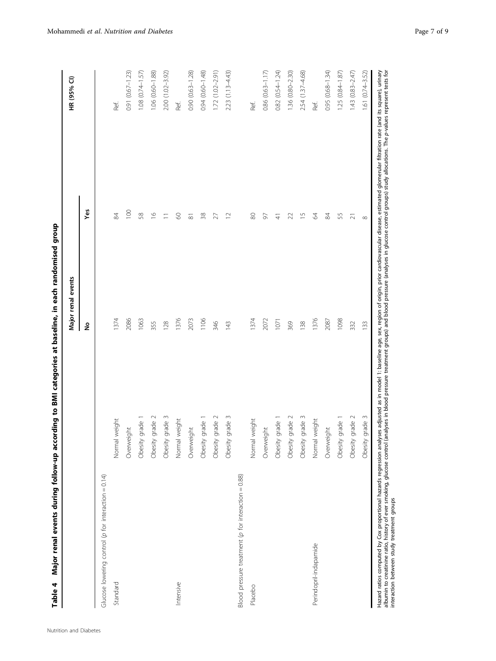| ו<br>: |
|--------|
|        |
|        |
|        |
|        |
|        |
|        |
|        |
|        |
|        |
| Table  |

<span id="page-6-0"></span>

| Ref.<br>Ref.<br>Ref.<br>Ref.<br>Yes<br>$\overline{100}$<br>58<br>$\frac{8}{1}$<br>54<br>$\odot$<br>38<br>80<br>$\frac{5}{1}$<br>2<br>\$<br>55<br>$\overline{C}$<br>50<br>22<br>$\equiv$<br>27<br>$\frac{4}{3}$<br>≅<br>Ν<br>1376<br>1376<br>1098<br>1374<br>2086<br>1063<br>2073<br>1106<br>1374<br>2072<br>2087<br>1071<br>355<br>369<br>128<br>346<br>143<br>138<br>332<br>ş<br>grade 3<br>grade 2<br>grade 2<br>grade 3<br>grade 3<br>grade 2<br>grade $2$<br>grade 1<br>grade 1<br>grade 1<br>grade 1<br>weight<br>Normal weight<br>weight<br>Normal weight<br>Overweight<br>Overweight<br>Overweight<br>Overweight<br>Obesity<br>Obesity<br>Obesity<br>Obesity<br>Obesity<br>Obesity<br>Obesity<br>Obesity<br>Obesity<br>Obesity<br>Obesity<br>Normal<br>Normal<br>Blood pressure treatment ( $p$ for interaction = 0.88)<br>Glucose lowering control (p for interaction = $0.14$ )<br>Perindopril-indapamide<br>Standard<br>Intensive<br>Placebo |                    | Major renal events |              | HR (95% CI)         |
|--------------------------------------------------------------------------------------------------------------------------------------------------------------------------------------------------------------------------------------------------------------------------------------------------------------------------------------------------------------------------------------------------------------------------------------------------------------------------------------------------------------------------------------------------------------------------------------------------------------------------------------------------------------------------------------------------------------------------------------------------------------------------------------------------------------------------------------------------------------------------------------------------------------------------------------------------------|--------------------|--------------------|--------------|---------------------|
|                                                                                                                                                                                                                                                                                                                                                                                                                                                                                                                                                                                                                                                                                                                                                                                                                                                                                                                                                        |                    |                    |              |                     |
|                                                                                                                                                                                                                                                                                                                                                                                                                                                                                                                                                                                                                                                                                                                                                                                                                                                                                                                                                        |                    |                    |              |                     |
|                                                                                                                                                                                                                                                                                                                                                                                                                                                                                                                                                                                                                                                                                                                                                                                                                                                                                                                                                        |                    |                    |              |                     |
|                                                                                                                                                                                                                                                                                                                                                                                                                                                                                                                                                                                                                                                                                                                                                                                                                                                                                                                                                        |                    |                    |              | 0.91 (0.67-1.23)    |
|                                                                                                                                                                                                                                                                                                                                                                                                                                                                                                                                                                                                                                                                                                                                                                                                                                                                                                                                                        |                    |                    |              | 1.08 (0.74-1.57)    |
|                                                                                                                                                                                                                                                                                                                                                                                                                                                                                                                                                                                                                                                                                                                                                                                                                                                                                                                                                        |                    |                    |              | 1.06 (0.60-1.88)    |
|                                                                                                                                                                                                                                                                                                                                                                                                                                                                                                                                                                                                                                                                                                                                                                                                                                                                                                                                                        |                    |                    |              | 2.00 (1.02-3.92)    |
|                                                                                                                                                                                                                                                                                                                                                                                                                                                                                                                                                                                                                                                                                                                                                                                                                                                                                                                                                        |                    |                    |              |                     |
|                                                                                                                                                                                                                                                                                                                                                                                                                                                                                                                                                                                                                                                                                                                                                                                                                                                                                                                                                        |                    |                    |              | $0.90(0.63 - 1.28)$ |
|                                                                                                                                                                                                                                                                                                                                                                                                                                                                                                                                                                                                                                                                                                                                                                                                                                                                                                                                                        |                    |                    |              | 0.94 (0.60-1.48)    |
|                                                                                                                                                                                                                                                                                                                                                                                                                                                                                                                                                                                                                                                                                                                                                                                                                                                                                                                                                        |                    |                    |              | $1.72(1.02 - 2.91)$ |
|                                                                                                                                                                                                                                                                                                                                                                                                                                                                                                                                                                                                                                                                                                                                                                                                                                                                                                                                                        |                    |                    |              | $2.23(1.13 - 4.43)$ |
|                                                                                                                                                                                                                                                                                                                                                                                                                                                                                                                                                                                                                                                                                                                                                                                                                                                                                                                                                        |                    |                    |              |                     |
|                                                                                                                                                                                                                                                                                                                                                                                                                                                                                                                                                                                                                                                                                                                                                                                                                                                                                                                                                        |                    |                    |              |                     |
|                                                                                                                                                                                                                                                                                                                                                                                                                                                                                                                                                                                                                                                                                                                                                                                                                                                                                                                                                        |                    |                    |              | 0.86 (0.63-1.17)    |
|                                                                                                                                                                                                                                                                                                                                                                                                                                                                                                                                                                                                                                                                                                                                                                                                                                                                                                                                                        |                    |                    |              | 0.82 (0.54-1.24)    |
|                                                                                                                                                                                                                                                                                                                                                                                                                                                                                                                                                                                                                                                                                                                                                                                                                                                                                                                                                        |                    |                    |              | 1.36 (0.80-2.30)    |
|                                                                                                                                                                                                                                                                                                                                                                                                                                                                                                                                                                                                                                                                                                                                                                                                                                                                                                                                                        |                    |                    |              | 2.54 (1.37-4.68)    |
|                                                                                                                                                                                                                                                                                                                                                                                                                                                                                                                                                                                                                                                                                                                                                                                                                                                                                                                                                        |                    |                    |              |                     |
|                                                                                                                                                                                                                                                                                                                                                                                                                                                                                                                                                                                                                                                                                                                                                                                                                                                                                                                                                        |                    |                    |              | 0.95 (0.68-1.34)    |
|                                                                                                                                                                                                                                                                                                                                                                                                                                                                                                                                                                                                                                                                                                                                                                                                                                                                                                                                                        |                    |                    |              | 1.25 (0.84-1.87)    |
|                                                                                                                                                                                                                                                                                                                                                                                                                                                                                                                                                                                                                                                                                                                                                                                                                                                                                                                                                        |                    |                    |              | $1.43(0.83 - 2.47)$ |
|                                                                                                                                                                                                                                                                                                                                                                                                                                                                                                                                                                                                                                                                                                                                                                                                                                                                                                                                                        | grade 3<br>Obesity | 133                | ${}^{\circ}$ | 1.61 (0.74-3.52)    |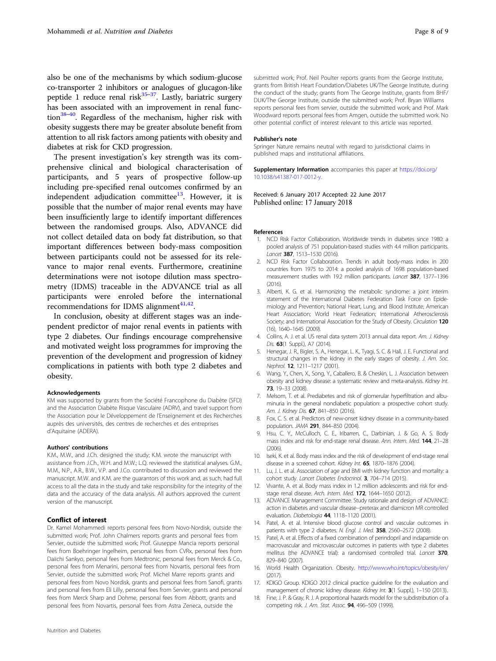<span id="page-7-0"></span>also be one of the mechanisms by which sodium-glucose co-transporter 2 inhibitors or analogues of glucagon-like peptide 1 reduce renal risk $35-37$  $35-37$ . Lastly, bariatric surgery has been associated with an improvement in renal func-tion<sup>[38](#page-8-0)–[40](#page-8-0)</sup>. Regardless of the mechanism, higher risk with obesity suggests there may be greater absolute benefit from attention to all risk factors among patients with obesity and diabetes at risk for CKD progression.

The present investigation's key strength was its comprehensive clinical and biological characterisation of participants, and 5 years of prospective follow-up including pre-specified renal outcomes confirmed by an independent adjudication committee $13$ . However, it is possible that the number of major renal events may have been insufficiently large to identify important differences between the randomised groups. Also, ADVANCE did not collect detailed data on body fat distribution, so that important differences between body-mass composition between participants could not be assessed for its relevance to major renal events. Furthermore, creatinine determinations were not isotope dilution mass spectrometry (IDMS) traceable in the ADVANCE trial as all participants were enroled before the international recommendations for IDMS alignment $41,42$  $41,42$  $41,42$ .

In conclusion, obesity at different stages was an independent predictor of major renal events in patients with type 2 diabetes. Our findings encourage comprehensive and motivated weight loss programmes for improving the prevention of the development and progression of kidney complications in patients with both type 2 diabetes and obesity.

#### Acknowledgements

KM was supported by grants from the Société Francophone du Diabète (SFD) and the Association Diabète Risque Vasculaire (ADRV), and travel support from the Association pour le Développement de l'Enseignement et des Recherches auprès des universités, des centres de recherches et des entreprises d'Aquitaine (ADERA).

#### Authors' contributions

K.M., M.W., and J.Ch. designed the study; K.M. wrote the manuscript with assistance from J.Ch., W.H. and M.W.; L.Q. reviewed the statistical analyses. G.M., M.M., N.P., A.R., B.W., V.P. and J.Co. contributed to discussion and reviewed the manuscript. M.W. and K.M. are the guarantors of this work and, as such, had full access to all the data in the study and take responsibility for the integrity of the data and the accuracy of the data analysis. All authors approved the current version of the manuscript.

#### Conflict of interest

Nutrition and Diabetes

Dr. Kamel Mohammedi reports personal fees from Novo-Nordisk, outside the submitted work; Prof. John Chalmers reports grants and personal fees from Servier, outside the submitted work; Prof. Giuseppe Mancia reports personal fees from Boehringer Ingelheim, personal fees from CVRx, personal fees from Daiichi Sankyo, personal fees from Medtronic, personal fees from Merck & Co., personal fees from Menarini, personal fees from Novartis, personal fees from Servier, outside the submitted work; Prof. Michel Marre reports grants and personal fees from Novo Nordisk, grants and personal fees from Sanofi, grants and personal fees from Eli Lilly, personal fees from Servier, grants and personal fees from Merck Sharp and Dohme, personal fees from Abbott, grants and personal fees from Novartis, personal fees from Astra Zeneca, outside the

submitted work; Prof. Neil Poulter reports grants from the George Institute, grants from British Heart Foundation/Diabetes UK/The George Institute, during the conduct of the study; grants from The George Institute, grants from BHF/ DUK/The George Institute, outside the submitted work; Prof. Bryan Williams reports personal fees from servier, outside the submitted work; and Prof. Mark Woodward reports personal fees from Amgen, outside the submitted work. No other potential conflict of interest relevant to this article was reported.

#### Publisher's note

Springer Nature remains neutral with regard to jurisdictional claims in published maps and institutional affiliations.

Supplementary Information accompanies this paper at [https://doi.org/](https://doi.org/10.1038/s41387-017-0012-y) [10.1038/s41387-017-0012-y.](https://doi.org/10.1038/s41387-017-0012-y)

Received: 6 January 2017 Accepted: 22 June 2017 Published online: 17 January 2018

#### References

- 1. NCD Risk Factor Collaboration. Worldwide trends in diabetes since 1980: a pooled analysis of 751 population-based studies with 4.4 million participants. Lancet 387, 1513-1530 (2016).
- 2. NCD Risk Factor Collaboration. Trends in adult body-mass index in 200 countries from 1975 to 2014: a pooled analysis of 1698 population-based measurement studies with 19.2 million participants. Lancet 387, 1377-1396  $(2016)$
- 3. Alberti, K. G. et al. Harmonizing the metabolic syndrome: a joint interim statement of the International Diabetes Federation Task Force on Epidemiology and Prevention; National Heart, Lung, and Blood Institute; American Heart Association; World Heart Federation; International Atherosclerosis Society; and International Association for the Study of Obesity. Circulation 120 (16), 1640–1645 (2009).
- 4. Collins, A. J. et al. US renal data system 2013 annual data report. Am. J. Kidney Dis. **63**(1 Suppl.), A7 (2014).
- 5. Henegar, J. R., Bigler, S. A., Henegar, L. K., Tyagi, S. C. & Hall, J. E. Functional and structural changes in the kidney in the early stages of obesity. J. Am. Soc. Nephrol. 12, 1211–1217 (2001).
- 6. Wang, Y., Chen, X., Song, Y., Caballero, B. & Cheskin, L. J. Association between obesity and kidney disease: a systematic review and meta-analysis. Kidney Int. 73, 19–33 (2008).
- 7. Melsom, T. et al. Prediabetes and risk of glomerular hyperfiltration and albuminuria in the general nondiabetic population: a prospective cohort study. Am. J. Kidney Dis. 67, 841-850 (2016).
- 8. Fox, C. S. et al. Predictors of new-onset kidney disease in a community-based population. JAMA 291, 844–850 (2004).
- 9. Hsu, C. Y., McCulloch, C. E., Iribarren, C., Darbinian, J. & Go, A. S. Body mass index and risk for end-stage renal disease. Ann. Intern. Med. 144, 21-28  $(2006)$
- 10. Iseki, K. et al. Body mass index and the risk of development of end-stage renal disease in a screened cohort. Kidney Int. 65, 1870-1876 (2004).
- 11. Lu, J. L. et al. Association of age and BMI with kidney function and mortality: a cohort study. Lancet Diabetes Endocrinol. 3, 704–714 (2015).
- 12. Vivante, A. et al. Body mass index in 1.2 million adolescents and risk for endstage renal disease. Arch. Intern. Med. 172, 1644–1650 (2012).
- 13. ADVANCE Management Committee. Study rationale and design of ADVANCE: action in diabetes and vascular disease--preterax and diamicron MR controlled evaluation. Diabetologia 44, 1118-1120 (2001).
- 14. Patel, A. et al. Intensive blood glucose control and vascular outcomes in patients with type 2 diabetes. N. Engl. J. Med. 358, 2560-2572 (2008).
- 15. Patel, A. et al. Effects of a fixed combination of perindopril and indapamide on macrovascular and microvascular outcomes in patients with type 2 diabetes mellitus (the ADVANCE trial): a randomised controlled trial. Lancet 370, 829–840 (2007).
- 16. World Health Organization. Obesity. <http://www.who.int/topics/obesity/en/>  $(2017)$
- 17. KDIGO Group. KDIGO 2012 clinical practice guideline for the evaluation and management of chronic kidney disease. Kidney Int. 3(1 Suppl.), 1-150 (2013)..
- 18. Fine, J. P. & Gray, R. J. A proportional hazards model for the subdistribution of a competing risk. J. Am. Stat. Assoc. **94**, 496-509 (1999).